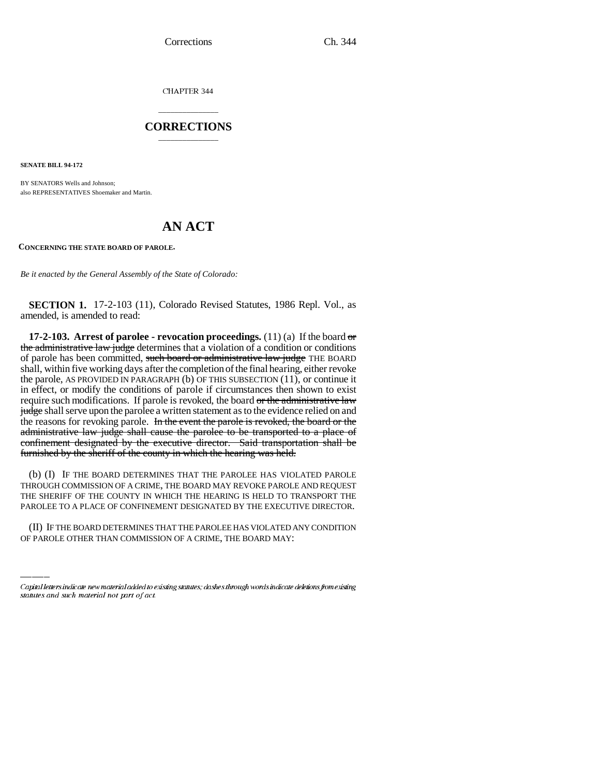CHAPTER 344

## \_\_\_\_\_\_\_\_\_\_\_\_\_\_\_ **CORRECTIONS** \_\_\_\_\_\_\_\_\_\_\_\_\_\_\_

**SENATE BILL 94-172**

BY SENATORS Wells and Johnson; also REPRESENTATIVES Shoemaker and Martin.

# **AN ACT**

**CONCERNING THE STATE BOARD OF PAROLE.** 

*Be it enacted by the General Assembly of the State of Colorado:*

**SECTION 1.** 17-2-103 (11), Colorado Revised Statutes, 1986 Repl. Vol., as amended, is amended to read:

**17-2-103.** Arrest of parolee - revocation proceedings.  $(11)(a)$  If the board  $\theta$ the administrative law judge determines that a violation of a condition or conditions of parole has been committed, such board or administrative law judge THE BOARD shall, within five working days after the completion of the final hearing, either revoke the parole, AS PROVIDED IN PARAGRAPH (b) OF THIS SUBSECTION (11), or continue it in effect, or modify the conditions of parole if circumstances then shown to exist require such modifications. If parole is revoked, the board or the administrative law judge shall serve upon the parolee a written statement as to the evidence relied on and the reasons for revoking parole. In the event the parole is revoked, the board or the administrative law judge shall cause the parolee to be transported to a place of confinement designated by the executive director. Said transportation shall be furnished by the sheriff of the county in which the hearing was held.

PAROLEE TO A PLACE OF CONFINEMENT DESIGNATED BY THE EXECUTIVE DIRECTOR. (b) (I) IF THE BOARD DETERMINES THAT THE PAROLEE HAS VIOLATED PAROLE THROUGH COMMISSION OF A CRIME, THE BOARD MAY REVOKE PAROLE AND REQUEST THE SHERIFF OF THE COUNTY IN WHICH THE HEARING IS HELD TO TRANSPORT THE

(II) IF THE BOARD DETERMINES THAT THE PAROLEE HAS VIOLATED ANY CONDITION OF PAROLE OTHER THAN COMMISSION OF A CRIME, THE BOARD MAY:

Capital letters indicate new material added to existing statutes; dashes through words indicate deletions from existing statutes and such material not part of act.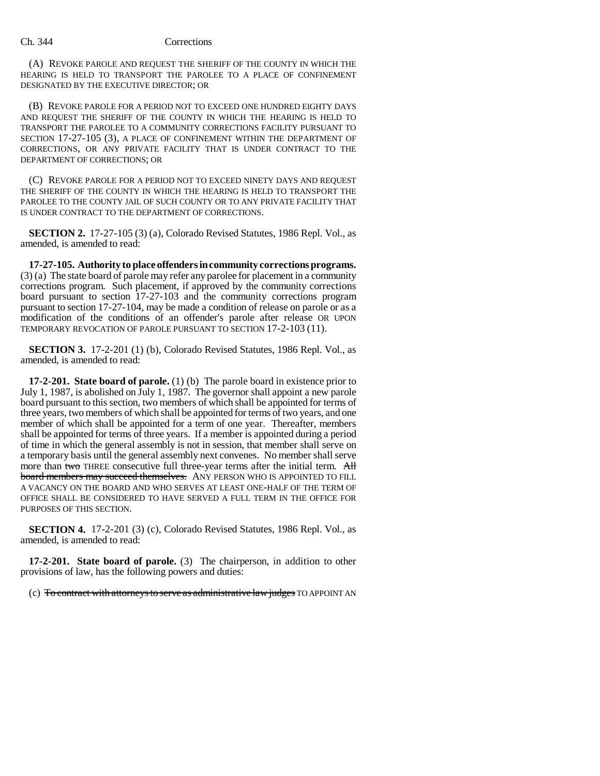### Ch. 344 Corrections

(A) REVOKE PAROLE AND REQUEST THE SHERIFF OF THE COUNTY IN WHICH THE HEARING IS HELD TO TRANSPORT THE PAROLEE TO A PLACE OF CONFINEMENT DESIGNATED BY THE EXECUTIVE DIRECTOR; OR

(B) REVOKE PAROLE FOR A PERIOD NOT TO EXCEED ONE HUNDRED EIGHTY DAYS AND REQUEST THE SHERIFF OF THE COUNTY IN WHICH THE HEARING IS HELD TO TRANSPORT THE PAROLEE TO A COMMUNITY CORRECTIONS FACILITY PURSUANT TO SECTION 17-27-105 (3), A PLACE OF CONFINEMENT WITHIN THE DEPARTMENT OF CORRECTIONS, OR ANY PRIVATE FACILITY THAT IS UNDER CONTRACT TO THE DEPARTMENT OF CORRECTIONS; OR

(C) REVOKE PAROLE FOR A PERIOD NOT TO EXCEED NINETY DAYS AND REQUEST THE SHERIFF OF THE COUNTY IN WHICH THE HEARING IS HELD TO TRANSPORT THE PAROLEE TO THE COUNTY JAIL OF SUCH COUNTY OR TO ANY PRIVATE FACILITY THAT IS UNDER CONTRACT TO THE DEPARTMENT OF CORRECTIONS.

**SECTION 2.** 17-27-105 (3) (a), Colorado Revised Statutes, 1986 Repl. Vol., as amended, is amended to read:

**17-27-105. Authority to place offenders in community corrections programs.** (3) (a) The state board of parole may refer any parolee for placement in a community corrections program. Such placement, if approved by the community corrections board pursuant to section 17-27-103 and the community corrections program pursuant to section 17-27-104, may be made a condition of release on parole or as a modification of the conditions of an offender's parole after release OR UPON TEMPORARY REVOCATION OF PAROLE PURSUANT TO SECTION 17-2-103 (11).

**SECTION 3.** 17-2-201 (1) (b), Colorado Revised Statutes, 1986 Repl. Vol., as amended, is amended to read:

**17-2-201. State board of parole.** (1) (b) The parole board in existence prior to July 1, 1987, is abolished on July 1, 1987. The governor shall appoint a new parole board pursuant to this section, two members of which shall be appointed for terms of three years, two members of which shall be appointed for terms of two years, and one member of which shall be appointed for a term of one year. Thereafter, members shall be appointed for terms of three years. If a member is appointed during a period of time in which the general assembly is not in session, that member shall serve on a temporary basis until the general assembly next convenes. No member shall serve more than two THREE consecutive full three-year terms after the initial term. All board members may succeed themselves. ANY PERSON WHO IS APPOINTED TO FILL A VACANCY ON THE BOARD AND WHO SERVES AT LEAST ONE-HALF OF THE TERM OF OFFICE SHALL BE CONSIDERED TO HAVE SERVED A FULL TERM IN THE OFFICE FOR PURPOSES OF THIS SECTION.

**SECTION 4.** 17-2-201 (3) (c), Colorado Revised Statutes, 1986 Repl. Vol., as amended, is amended to read:

**17-2-201. State board of parole.** (3) The chairperson, in addition to other provisions of law, has the following powers and duties:

(c) To contract with attorneys to serve as administrative law judges TO APPOINT AN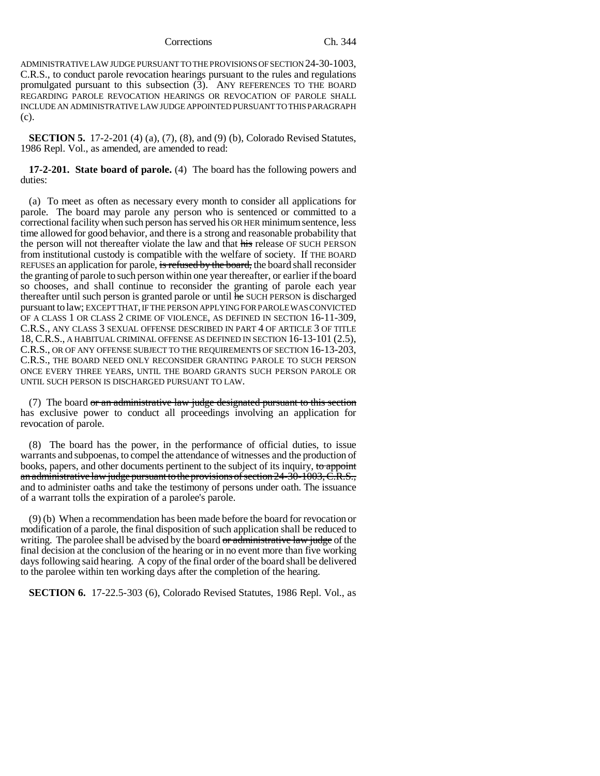ADMINISTRATIVE LAW JUDGE PURSUANT TO THE PROVISIONS OF SECTION 24-30-1003, C.R.S., to conduct parole revocation hearings pursuant to the rules and regulations promulgated pursuant to this subsection (3). ANY REFERENCES TO THE BOARD REGARDING PAROLE REVOCATION HEARINGS OR REVOCATION OF PAROLE SHALL INCLUDE AN ADMINISTRATIVE LAW JUDGE APPOINTED PURSUANT TO THIS PARAGRAPH (c).

**SECTION 5.** 17-2-201 (4) (a), (7), (8), and (9) (b), Colorado Revised Statutes, 1986 Repl. Vol., as amended, are amended to read:

**17-2-201. State board of parole.** (4) The board has the following powers and duties:

(a) To meet as often as necessary every month to consider all applications for parole. The board may parole any person who is sentenced or committed to a correctional facility when such person has served his OR HER minimum sentence, less time allowed for good behavior, and there is a strong and reasonable probability that the person will not thereafter violate the law and that his release OF SUCH PERSON from institutional custody is compatible with the welfare of society. If THE BOARD REFUSES an application for parole, is refused by the board, the board shall reconsider the granting of parole to such person within one year thereafter, or earlier if the board so chooses, and shall continue to reconsider the granting of parole each year thereafter until such person is granted parole or until he SUCH PERSON is discharged pursuant to law; EXCEPT THAT, IF THE PERSON APPLYING FOR PAROLE WAS CONVICTED OF A CLASS 1 OR CLASS 2 CRIME OF VIOLENCE, AS DEFINED IN SECTION 16-11-309, C.R.S., ANY CLASS 3 SEXUAL OFFENSE DESCRIBED IN PART 4 OF ARTICLE 3 OF TITLE 18, C.R.S., A HABITUAL CRIMINAL OFFENSE AS DEFINED IN SECTION 16-13-101 (2.5), C.R.S., OR OF ANY OFFENSE SUBJECT TO THE REQUIREMENTS OF SECTION 16-13-203, C.R.S., THE BOARD NEED ONLY RECONSIDER GRANTING PAROLE TO SUCH PERSON ONCE EVERY THREE YEARS, UNTIL THE BOARD GRANTS SUCH PERSON PAROLE OR UNTIL SUCH PERSON IS DISCHARGED PURSUANT TO LAW.

(7) The board or an administrative law judge designated pursuant to this section has exclusive power to conduct all proceedings involving an application for revocation of parole.

(8) The board has the power, in the performance of official duties, to issue warrants and subpoenas, to compel the attendance of witnesses and the production of books, papers, and other documents pertinent to the subject of its inquiry, to appoint an administrative law judge pursuant to the provisions of section 24-30-1003, C.R.S., and to administer oaths and take the testimony of persons under oath. The issuance of a warrant tolls the expiration of a parolee's parole.

(9) (b) When a recommendation has been made before the board for revocation or modification of a parole, the final disposition of such application shall be reduced to writing. The parolee shall be advised by the board or administrative law judge of the final decision at the conclusion of the hearing or in no event more than five working days following said hearing. A copy of the final order of the board shall be delivered to the parolee within ten working days after the completion of the hearing.

**SECTION 6.** 17-22.5-303 (6), Colorado Revised Statutes, 1986 Repl. Vol., as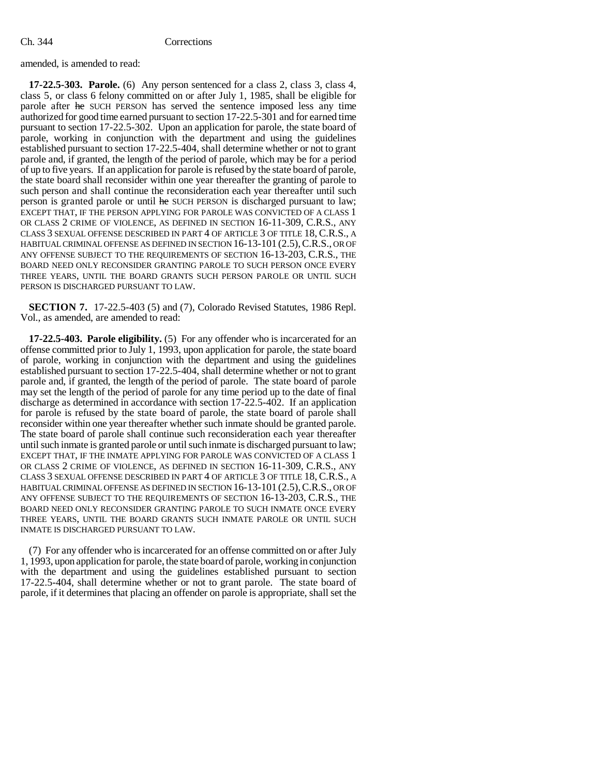amended, is amended to read:

**17-22.5-303. Parole.** (6) Any person sentenced for a class 2, class 3, class 4, class 5, or class 6 felony committed on or after July 1, 1985, shall be eligible for parole after he SUCH PERSON has served the sentence imposed less any time authorized for good time earned pursuant to section 17-22.5-301 and for earned time pursuant to section 17-22.5-302. Upon an application for parole, the state board of parole, working in conjunction with the department and using the guidelines established pursuant to section 17-22.5-404, shall determine whether or not to grant parole and, if granted, the length of the period of parole, which may be for a period of up to five years. If an application for parole is refused by the state board of parole, the state board shall reconsider within one year thereafter the granting of parole to such person and shall continue the reconsideration each year thereafter until such person is granted parole or until he SUCH PERSON is discharged pursuant to law; EXCEPT THAT, IF THE PERSON APPLYING FOR PAROLE WAS CONVICTED OF A CLASS 1 OR CLASS 2 CRIME OF VIOLENCE, AS DEFINED IN SECTION 16-11-309, C.R.S., ANY CLASS 3 SEXUAL OFFENSE DESCRIBED IN PART 4 OF ARTICLE 3 OF TITLE 18, C.R.S., A HABITUAL CRIMINAL OFFENSE AS DEFINED IN SECTION 16-13-101 (2.5),C.R.S., OR OF ANY OFFENSE SUBJECT TO THE REQUIREMENTS OF SECTION 16-13-203, C.R.S., THE BOARD NEED ONLY RECONSIDER GRANTING PAROLE TO SUCH PERSON ONCE EVERY THREE YEARS, UNTIL THE BOARD GRANTS SUCH PERSON PAROLE OR UNTIL SUCH PERSON IS DISCHARGED PURSUANT TO LAW.

**SECTION 7.** 17-22.5-403 (5) and (7), Colorado Revised Statutes, 1986 Repl. Vol., as amended, are amended to read:

**17-22.5-403. Parole eligibility.** (5) For any offender who is incarcerated for an offense committed prior to July 1, 1993, upon application for parole, the state board of parole, working in conjunction with the department and using the guidelines established pursuant to section 17-22.5-404, shall determine whether or not to grant parole and, if granted, the length of the period of parole. The state board of parole may set the length of the period of parole for any time period up to the date of final discharge as determined in accordance with section 17-22.5-402. If an application for parole is refused by the state board of parole, the state board of parole shall reconsider within one year thereafter whether such inmate should be granted parole. The state board of parole shall continue such reconsideration each year thereafter until such inmate is granted parole or until such inmate is discharged pursuant to law; EXCEPT THAT, IF THE INMATE APPLYING FOR PAROLE WAS CONVICTED OF A CLASS 1 OR CLASS 2 CRIME OF VIOLENCE, AS DEFINED IN SECTION 16-11-309, C.R.S., ANY CLASS 3 SEXUAL OFFENSE DESCRIBED IN PART 4 OF ARTICLE 3 OF TITLE 18, C.R.S., A HABITUAL CRIMINAL OFFENSE AS DEFINED IN SECTION 16-13-101 (2.5), C.R.S., OR OF ANY OFFENSE SUBJECT TO THE REQUIREMENTS OF SECTION 16-13-203, C.R.S., THE BOARD NEED ONLY RECONSIDER GRANTING PAROLE TO SUCH INMATE ONCE EVERY THREE YEARS, UNTIL THE BOARD GRANTS SUCH INMATE PAROLE OR UNTIL SUCH INMATE IS DISCHARGED PURSUANT TO LAW.

(7) For any offender who is incarcerated for an offense committed on or after July 1, 1993, upon application for parole, the state board of parole, working in conjunction with the department and using the guidelines established pursuant to section 17-22.5-404, shall determine whether or not to grant parole. The state board of parole, if it determines that placing an offender on parole is appropriate, shall set the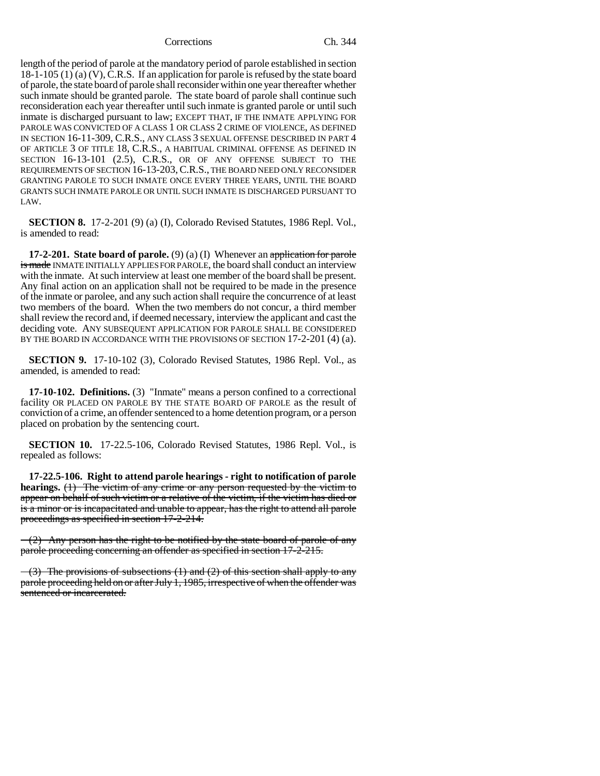length of the period of parole at the mandatory period of parole established in section 18-1-105 (1) (a) (V), C.R.S. If an application for parole is refused by the state board of parole, the state board of parole shall reconsider within one year thereafter whether such inmate should be granted parole. The state board of parole shall continue such reconsideration each year thereafter until such inmate is granted parole or until such inmate is discharged pursuant to law; EXCEPT THAT, IF THE INMATE APPLYING FOR PAROLE WAS CONVICTED OF A CLASS 1 OR CLASS 2 CRIME OF VIOLENCE, AS DEFINED IN SECTION 16-11-309, C.R.S., ANY CLASS 3 SEXUAL OFFENSE DESCRIBED IN PART 4 OF ARTICLE 3 OF TITLE 18, C.R.S., A HABITUAL CRIMINAL OFFENSE AS DEFINED IN SECTION 16-13-101 (2.5), C.R.S., OR OF ANY OFFENSE SUBJECT TO THE REQUIREMENTS OF SECTION 16-13-203,C.R.S., THE BOARD NEED ONLY RECONSIDER GRANTING PAROLE TO SUCH INMATE ONCE EVERY THREE YEARS, UNTIL THE BOARD GRANTS SUCH INMATE PAROLE OR UNTIL SUCH INMATE IS DISCHARGED PURSUANT TO LAW.

**SECTION 8.** 17-2-201 (9) (a) (I), Colorado Revised Statutes, 1986 Repl. Vol., is amended to read:

**17-2-201. State board of parole.** (9) (a) (I) Whenever an application for parole is made INMATE INITIALLY APPLIES FOR PAROLE, the board shall conduct an interview with the inmate. At such interview at least one member of the board shall be present. Any final action on an application shall not be required to be made in the presence of the inmate or parolee, and any such action shall require the concurrence of at least two members of the board. When the two members do not concur, a third member shall review the record and, if deemed necessary, interview the applicant and cast the deciding vote. ANY SUBSEQUENT APPLICATION FOR PAROLE SHALL BE CONSIDERED BY THE BOARD IN ACCORDANCE WITH THE PROVISIONS OF SECTION 17-2-201 (4) (a).

**SECTION 9.** 17-10-102 (3), Colorado Revised Statutes, 1986 Repl. Vol., as amended, is amended to read:

**17-10-102. Definitions.** (3) "Inmate" means a person confined to a correctional facility OR PLACED ON PAROLE BY THE STATE BOARD OF PAROLE as the result of conviction of a crime, an offender sentenced to a home detention program, or a person placed on probation by the sentencing court.

**SECTION 10.** 17-22.5-106, Colorado Revised Statutes, 1986 Repl. Vol., is repealed as follows:

**17-22.5-106. Right to attend parole hearings - right to notification of parole hearings.** (1) The victim of any crime or any person requested by the victim to appear on behalf of such victim or a relative of the victim, if the victim has died or is a minor or is incapacitated and unable to appear, has the right to attend all parole proceedings as specified in section 17-2-214.

 $(2)$  Any person has the right to be notified by the state board of parole of any parole proceeding concerning an offender as specified in section 17-2-215.

 $-(3)$  The provisions of subsections  $(1)$  and  $(2)$  of this section shall apply to any parole proceeding held on or after July 1, 1985, irrespective of when the offender was sentenced or incarcerated.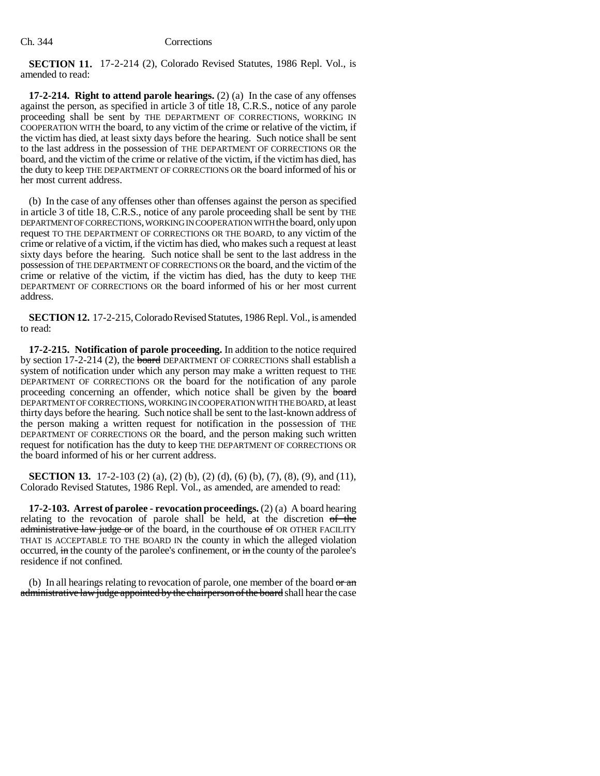**SECTION 11.** 17-2-214 (2), Colorado Revised Statutes, 1986 Repl. Vol., is amended to read:

**17-2-214. Right to attend parole hearings.** (2) (a) In the case of any offenses against the person, as specified in article 3 of title 18, C.R.S., notice of any parole proceeding shall be sent by THE DEPARTMENT OF CORRECTIONS, WORKING IN COOPERATION WITH the board, to any victim of the crime or relative of the victim, if the victim has died, at least sixty days before the hearing. Such notice shall be sent to the last address in the possession of THE DEPARTMENT OF CORRECTIONS OR the board, and the victim of the crime or relative of the victim, if the victim has died, has the duty to keep THE DEPARTMENT OF CORRECTIONS OR the board informed of his or her most current address.

(b) In the case of any offenses other than offenses against the person as specified in article 3 of title 18, C.R.S., notice of any parole proceeding shall be sent by THE DEPARTMENT OF CORRECTIONS, WORKING IN COOPERATION WITH the board, only upon request TO THE DEPARTMENT OF CORRECTIONS OR THE BOARD, to any victim of the crime or relative of a victim, if the victim has died, who makes such a request at least sixty days before the hearing. Such notice shall be sent to the last address in the possession of THE DEPARTMENT OF CORRECTIONS OR the board, and the victim of the crime or relative of the victim, if the victim has died, has the duty to keep THE DEPARTMENT OF CORRECTIONS OR the board informed of his or her most current address.

**SECTION 12.** 17-2-215, Colorado Revised Statutes, 1986 Repl. Vol., is amended to read:

**17-2-215. Notification of parole proceeding.** In addition to the notice required by section 17-2-214 (2), the board DEPARTMENT OF CORRECTIONS shall establish a system of notification under which any person may make a written request to THE DEPARTMENT OF CORRECTIONS OR the board for the notification of any parole proceeding concerning an offender, which notice shall be given by the board DEPARTMENT OF CORRECTIONS, WORKING IN COOPERATION WITH THE BOARD, at least thirty days before the hearing. Such notice shall be sent to the last-known address of the person making a written request for notification in the possession of THE DEPARTMENT OF CORRECTIONS OR the board, and the person making such written request for notification has the duty to keep THE DEPARTMENT OF CORRECTIONS OR the board informed of his or her current address.

**SECTION 13.** 17-2-103 (2) (a), (2) (b), (2) (d), (6) (b), (7), (8), (9), and (11), Colorado Revised Statutes, 1986 Repl. Vol., as amended, are amended to read:

**17-2-103. Arrest of parolee - revocation proceedings.** (2) (a) A board hearing relating to the revocation of parole shall be held, at the discretion of the administrative law judge or of the board, in the courthouse of OR OTHER FACILITY THAT IS ACCEPTABLE TO THE BOARD IN the county in which the alleged violation occurred,  $\overline{m}$  the county of the parolee's confinement, or  $\overline{m}$  the county of the parolee's residence if not confined.

(b) In all hearings relating to revocation of parole, one member of the board  $\theta r$  and administrative law judge appointed by the chairperson of the board shall hear the case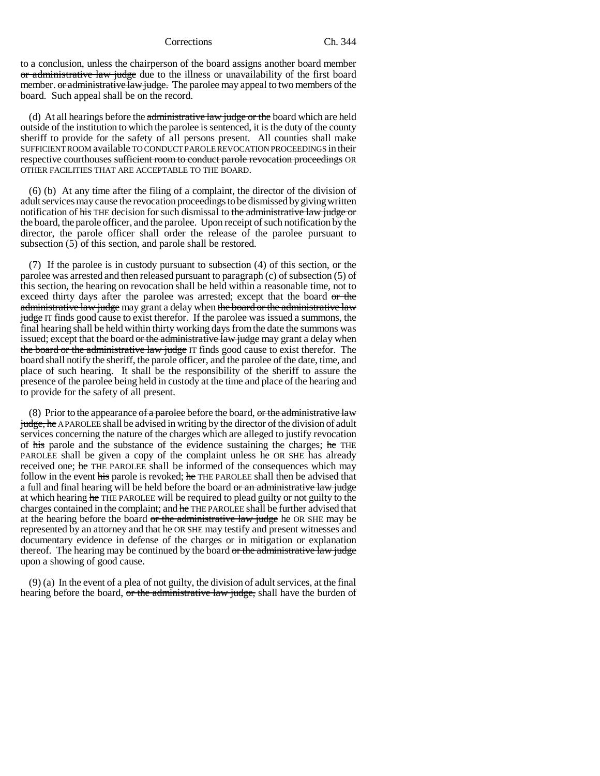to a conclusion, unless the chairperson of the board assigns another board member or administrative law judge due to the illness or unavailability of the first board member. or administrative law judge. The parolee may appeal to two members of the board. Such appeal shall be on the record.

(d) At all hearings before the  $\frac{1}{\text{admissible}}$  and  $\frac{1}{\text{adges}}$  or the board which are held outside of the institution to which the parolee is sentenced, it is the duty of the county sheriff to provide for the safety of all persons present. All counties shall make SUFFICIENT ROOM available TO CONDUCT PAROLE REVOCATION PROCEEDINGS in their respective courthouses sufficient room to conduct parole revocation proceedings OR OTHER FACILITIES THAT ARE ACCEPTABLE TO THE BOARD.

(6) (b) At any time after the filing of a complaint, the director of the division of adult services may cause the revocation proceedings to be dismissed by giving written notification of his THE decision for such dismissal to the administrative law judge or the board, the parole officer, and the parolee. Upon receipt of such notification by the director, the parole officer shall order the release of the parolee pursuant to subsection (5) of this section, and parole shall be restored.

(7) If the parolee is in custody pursuant to subsection (4) of this section, or the parolee was arrested and then released pursuant to paragraph (c) of subsection (5) of this section, the hearing on revocation shall be held within a reasonable time, not to exceed thirty days after the parolee was arrested; except that the board or the administrative law judge may grant a delay when the board or the administrative law judge IT finds good cause to exist therefor. If the parolee was issued a summons, the final hearing shall be held within thirty working days from the date the summons was issued; except that the board or the administrative law judge may grant a delay when the board or the administrative law judge IT finds good cause to exist therefor. The board shall notify the sheriff, the parole officer, and the parolee of the date, time, and place of such hearing. It shall be the responsibility of the sheriff to assure the presence of the parolee being held in custody at the time and place of the hearing and to provide for the safety of all present.

(8) Prior to the appearance of a parolee before the board, or the administrative law judge, he A PAROLEE shall be advised in writing by the director of the division of adult services concerning the nature of the charges which are alleged to justify revocation of his parole and the substance of the evidence sustaining the charges; he THE PAROLEE shall be given a copy of the complaint unless he OR SHE has already received one; he THE PAROLEE shall be informed of the consequences which may follow in the event his parole is revoked; he THE PAROLEE shall then be advised that a full and final hearing will be held before the board or an administrative law judge at which hearing he THE PAROLEE will be required to plead guilty or not guilty to the charges contained in the complaint; and he THE PAROLEE shall be further advised that at the hearing before the board or the administrative law judge he OR SHE may be represented by an attorney and that he OR SHE may testify and present witnesses and documentary evidence in defense of the charges or in mitigation or explanation thereof. The hearing may be continued by the board or the administrative law judge upon a showing of good cause.

(9) (a) In the event of a plea of not guilty, the division of adult services, at the final hearing before the board, or the administrative law judge, shall have the burden of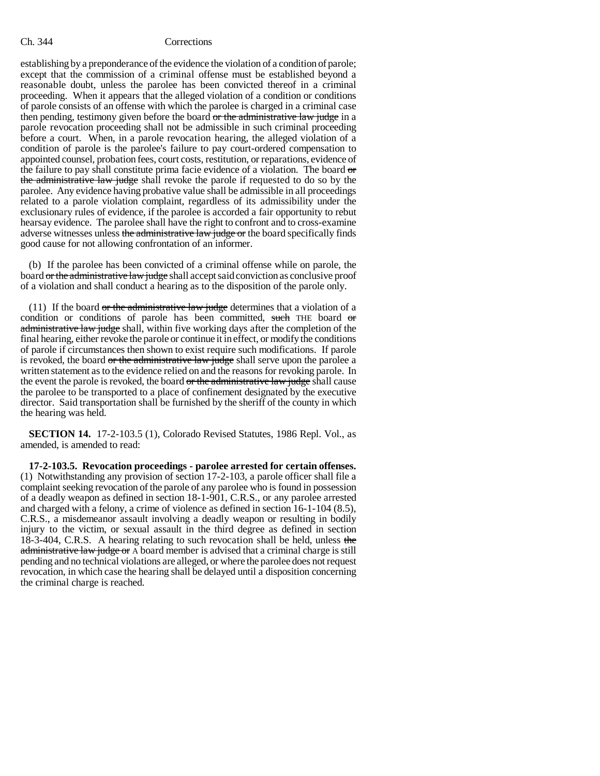### Ch. 344 Corrections

establishing by a preponderance of the evidence the violation of a condition of parole; except that the commission of a criminal offense must be established beyond a reasonable doubt, unless the parolee has been convicted thereof in a criminal proceeding. When it appears that the alleged violation of a condition or conditions of parole consists of an offense with which the parolee is charged in a criminal case then pending, testimony given before the board or the administrative law judge in a parole revocation proceeding shall not be admissible in such criminal proceeding before a court. When, in a parole revocation hearing, the alleged violation of a condition of parole is the parolee's failure to pay court-ordered compensation to appointed counsel, probation fees, court costs, restitution, or reparations, evidence of the failure to pay shall constitute prima facie evidence of a violation. The board or the administrative law judge shall revoke the parole if requested to do so by the parolee. Any evidence having probative value shall be admissible in all proceedings related to a parole violation complaint, regardless of its admissibility under the exclusionary rules of evidence, if the parolee is accorded a fair opportunity to rebut hearsay evidence. The parolee shall have the right to confront and to cross-examine adverse witnesses unless the administrative law judge or the board specifically finds good cause for not allowing confrontation of an informer.

(b) If the parolee has been convicted of a criminal offense while on parole, the board or the administrative law judge shall accept said conviction as conclusive proof of a violation and shall conduct a hearing as to the disposition of the parole only.

(11) If the board  $or$  the administrative law judge determines that a violation of a condition or conditions of parole has been committed, such THE board or administrative law judge shall, within five working days after the completion of the final hearing, either revoke the parole or continue it in effect, or modify the conditions of parole if circumstances then shown to exist require such modifications. If parole is revoked, the board or the administrative law judge shall serve upon the parolee a written statement as to the evidence relied on and the reasons for revoking parole. In the event the parole is revoked, the board or the administrative law judge shall cause the parolee to be transported to a place of confinement designated by the executive director. Said transportation shall be furnished by the sheriff of the county in which the hearing was held.

**SECTION 14.** 17-2-103.5 (1), Colorado Revised Statutes, 1986 Repl. Vol., as amended, is amended to read:

**17-2-103.5. Revocation proceedings - parolee arrested for certain offenses.** (1) Notwithstanding any provision of section 17-2-103, a parole officer shall file a complaint seeking revocation of the parole of any parolee who is found in possession of a deadly weapon as defined in section 18-1-901, C.R.S., or any parolee arrested and charged with a felony, a crime of violence as defined in section 16-1-104 (8.5), C.R.S., a misdemeanor assault involving a deadly weapon or resulting in bodily injury to the victim, or sexual assault in the third degree as defined in section 18-3-404, C.R.S. A hearing relating to such revocation shall be held, unless the administrative law judge or A board member is advised that a criminal charge is still pending and no technical violations are alleged, or where the parolee does not request revocation, in which case the hearing shall be delayed until a disposition concerning the criminal charge is reached.